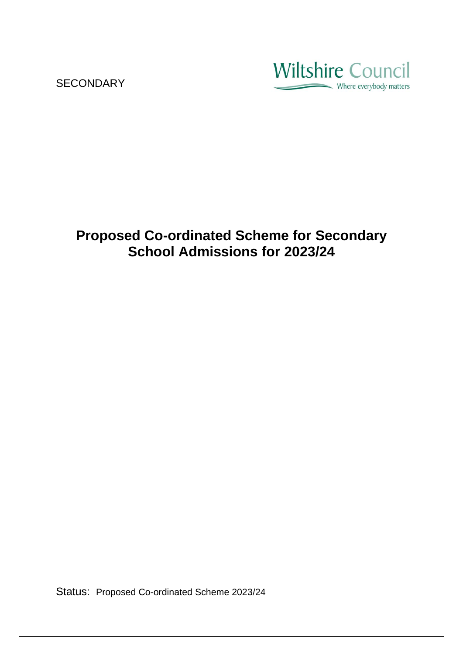**SECONDARY** 

**Wiltshire Council** Where everybody matters

# **Proposed Co-ordinated Scheme for Secondary School Admissions for 2023/24**

Status: Proposed Co-ordinated Scheme 2023/24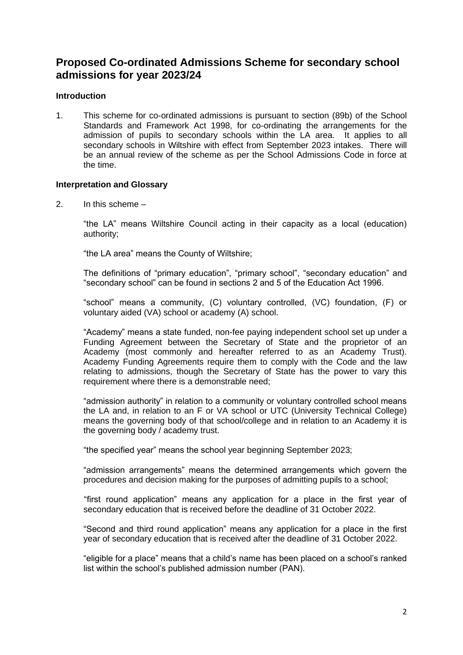### **Proposed Co-ordinated Admissions Scheme for secondary school admissions for year 2023/24**

#### **Introduction**

1. This scheme for co-ordinated admissions is pursuant to section (89b) of the School Standards and Framework Act 1998, for co-ordinating the arrangements for the admission of pupils to secondary schools within the LA area. It applies to all secondary schools in Wiltshire with effect from September 2023 intakes. There will be an annual review of the scheme as per the School Admissions Code in force at the time.

#### **Interpretation and Glossary**

2. In this scheme –

"the LA" means Wiltshire Council acting in their capacity as a local (education) authority;

"the LA area" means the County of Wiltshire;

The definitions of "primary education", "primary school", "secondary education" and "secondary school" can be found in sections 2 and 5 of the Education Act 1996.

"school" means a community, (C) voluntary controlled, (VC) foundation, (F) or voluntary aided (VA) school or academy (A) school.

"Academy" means a state funded, non-fee paying independent school set up under a Funding Agreement between the Secretary of State and the proprietor of an Academy (most commonly and hereafter referred to as an Academy Trust). Academy Funding Agreements require them to comply with the Code and the law relating to admissions, though the Secretary of State has the power to vary this requirement where there is a demonstrable need;

"admission authority" in relation to a community or voluntary controlled school means the LA and, in relation to an F or VA school or UTC (University Technical College) means the governing body of that school/college and in relation to an Academy it is the governing body / academy trust.

"the specified year" means the school year beginning September 2023;

"admission arrangements" means the determined arrangements which govern the procedures and decision making for the purposes of admitting pupils to a school;

"first round application" means any application for a place in the first year of secondary education that is received before the deadline of 31 October 2022.

"Second and third round application" means any application for a place in the first year of secondary education that is received after the deadline of 31 October 2022.

"eligible for a place" means that a child's name has been placed on a school's ranked list within the school's published admission number (PAN).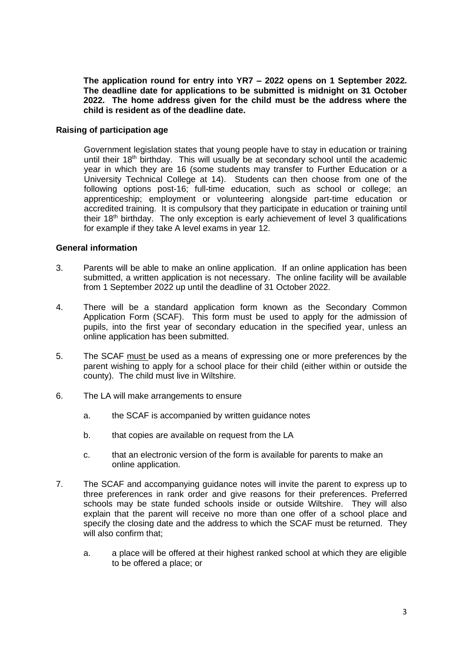**The application round for entry into YR7 – 2022 opens on 1 September 2022. The deadline date for applications to be submitted is midnight on 31 October 2022. The home address given for the child must be the address where the child is resident as of the deadline date.**

#### **Raising of participation age**

Government legislation states that young people have to stay in education or training until their 18th birthday. This will usually be at secondary school until the academic year in which they are 16 (some students may transfer to Further Education or a University Technical College at 14). Students can then choose from one of the following options post-16; full-time education, such as school or college; an apprenticeship; employment or volunteering alongside part-time education or accredited training. It is compulsory that they participate in education or training until their 18<sup>th</sup> birthday. The only exception is early achievement of level 3 qualifications for example if they take A level exams in year 12.

#### **General information**

- 3. Parents will be able to make an online application. If an online application has been submitted, a written application is not necessary. The online facility will be available from 1 September 2022 up until the deadline of 31 October 2022.
- 4. There will be a standard application form known as the Secondary Common Application Form (SCAF). This form must be used to apply for the admission of pupils, into the first year of secondary education in the specified year, unless an online application has been submitted.
- 5. The SCAF must be used as a means of expressing one or more preferences by the parent wishing to apply for a school place for their child (either within or outside the county). The child must live in Wiltshire.
- 6. The LA will make arrangements to ensure
	- a. the SCAF is accompanied by written guidance notes
	- b. that copies are available on request from the LA
	- c. that an electronic version of the form is available for parents to make an online application.
- 7. The SCAF and accompanying guidance notes will invite the parent to express up to three preferences in rank order and give reasons for their preferences. Preferred schools may be state funded schools inside or outside Wiltshire. They will also explain that the parent will receive no more than one offer of a school place and specify the closing date and the address to which the SCAF must be returned. They will also confirm that;
	- a. a place will be offered at their highest ranked school at which they are eligible to be offered a place; or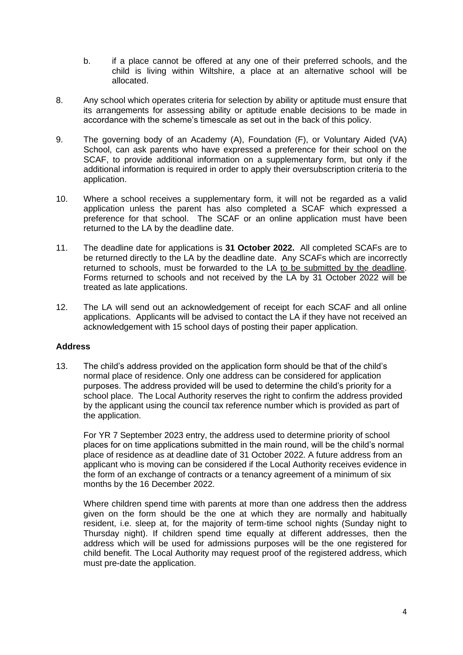- b. if a place cannot be offered at any one of their preferred schools, and the child is living within Wiltshire, a place at an alternative school will be allocated.
- 8. Any school which operates criteria for selection by ability or aptitude must ensure that its arrangements for assessing ability or aptitude enable decisions to be made in accordance with the scheme's timescale as set out in the back of this policy.
- 9. The governing body of an Academy (A), Foundation (F), or Voluntary Aided (VA) School, can ask parents who have expressed a preference for their school on the SCAF, to provide additional information on a supplementary form, but only if the additional information is required in order to apply their oversubscription criteria to the application.
- 10. Where a school receives a supplementary form, it will not be regarded as a valid application unless the parent has also completed a SCAF which expressed a preference for that school. The SCAF or an online application must have been returned to the LA by the deadline date.
- 11. The deadline date for applications is **31 October 2022.** All completed SCAFs are to be returned directly to the LA by the deadline date. Any SCAFs which are incorrectly returned to schools, must be forwarded to the LA to be submitted by the deadline. Forms returned to schools and not received by the LA by 31 October 2022 will be treated as late applications.
- 12. The LA will send out an acknowledgement of receipt for each SCAF and all online applications. Applicants will be advised to contact the LA if they have not received an acknowledgement with 15 school days of posting their paper application.

#### **Address**

13. The child's address provided on the application form should be that of the child's normal place of residence. Only one address can be considered for application purposes. The address provided will be used to determine the child's priority for a school place. The Local Authority reserves the right to confirm the address provided by the applicant using the council tax reference number which is provided as part of the application.

For YR 7 September 2023 entry, the address used to determine priority of school places for on time applications submitted in the main round, will be the child's normal place of residence as at deadline date of 31 October 2022. A future address from an applicant who is moving can be considered if the Local Authority receives evidence in the form of an exchange of contracts or a tenancy agreement of a minimum of six months by the 16 December 2022.

Where children spend time with parents at more than one address then the address given on the form should be the one at which they are normally and habitually resident, i.e. sleep at, for the majority of term-time school nights (Sunday night to Thursday night). If children spend time equally at different addresses, then the address which will be used for admissions purposes will be the one registered for child benefit. The Local Authority may request proof of the registered address, which must pre-date the application.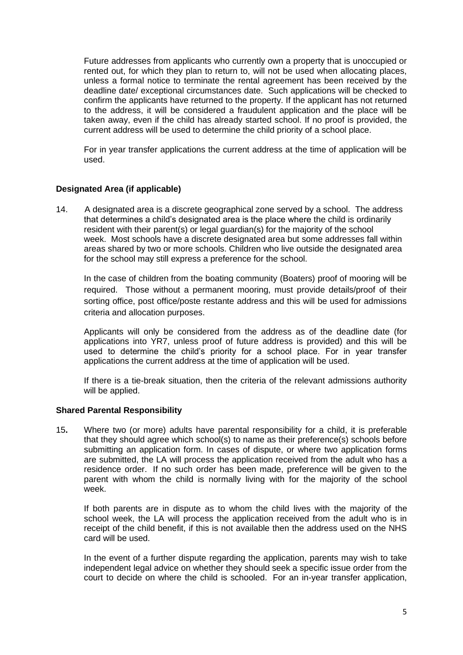Future addresses from applicants who currently own a property that is unoccupied or rented out, for which they plan to return to, will not be used when allocating places, unless a formal notice to terminate the rental agreement has been received by the deadline date/ exceptional circumstances date. Such applications will be checked to confirm the applicants have returned to the property. If the applicant has not returned to the address, it will be considered a fraudulent application and the place will be taken away, even if the child has already started school. If no proof is provided, the current address will be used to determine the child priority of a school place.

For in year transfer applications the current address at the time of application will be used.

#### **Designated Area (if applicable)**

14. A designated area is a discrete geographical zone served by a school. The address that determines a child's designated area is the place where the child is ordinarily resident with their parent(s) or legal guardian(s) for the majority of the school week. Most schools have a discrete designated area but some addresses fall within areas shared by two or more schools. Children who live outside the designated area for the school may still express a preference for the school.

In the case of children from the boating community (Boaters) proof of mooring will be required. Those without a permanent mooring, must provide details/proof of their sorting office, post office/poste restante address and this will be used for admissions criteria and allocation purposes.

Applicants will only be considered from the address as of the deadline date (for applications into YR7, unless proof of future address is provided) and this will be used to determine the child's priority for a school place. For in year transfer applications the current address at the time of application will be used.

If there is a tie-break situation, then the criteria of the relevant admissions authority will be applied.

#### **Shared Parental Responsibility**

15**.** Where two (or more) adults have parental responsibility for a child, it is preferable that they should agree which school(s) to name as their preference(s) schools before submitting an application form. In cases of dispute, or where two application forms are submitted, the LA will process the application received from the adult who has a residence order. If no such order has been made, preference will be given to the parent with whom the child is normally living with for the majority of the school week.

If both parents are in dispute as to whom the child lives with the majority of the school week, the LA will process the application received from the adult who is in receipt of the child benefit, if this is not available then the address used on the NHS card will be used.

In the event of a further dispute regarding the application, parents may wish to take independent legal advice on whether they should seek a specific issue order from the court to decide on where the child is schooled. For an in-year transfer application,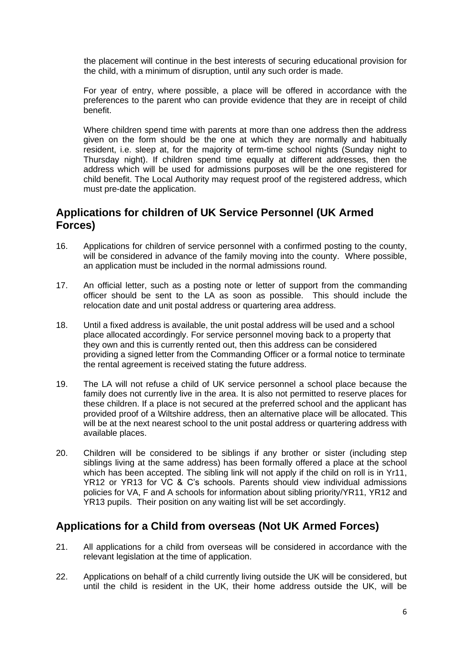the placement will continue in the best interests of securing educational provision for the child, with a minimum of disruption, until any such order is made.

For year of entry, where possible, a place will be offered in accordance with the preferences to the parent who can provide evidence that they are in receipt of child benefit.

Where children spend time with parents at more than one address then the address given on the form should be the one at which they are normally and habitually resident, i.e. sleep at, for the majority of term-time school nights (Sunday night to Thursday night). If children spend time equally at different addresses, then the address which will be used for admissions purposes will be the one registered for child benefit. The Local Authority may request proof of the registered address, which must pre-date the application.

### **Applications for children of UK Service Personnel (UK Armed Forces)**

- 16. Applications for children of service personnel with a confirmed posting to the county, will be considered in advance of the family moving into the county. Where possible, an application must be included in the normal admissions round.
- 17. An official letter, such as a posting note or letter of support from the commanding officer should be sent to the LA as soon as possible. This should include the relocation date and unit postal address or quartering area address.
- 18. Until a fixed address is available, the unit postal address will be used and a school place allocated accordingly. For service personnel moving back to a property that they own and this is currently rented out, then this address can be considered providing a signed letter from the Commanding Officer or a formal notice to terminate the rental agreement is received stating the future address.
- 19. The LA will not refuse a child of UK service personnel a school place because the family does not currently live in the area. It is also not permitted to reserve places for these children. If a place is not secured at the preferred school and the applicant has provided proof of a Wiltshire address, then an alternative place will be allocated. This will be at the next nearest school to the unit postal address or quartering address with available places.
- 20. Children will be considered to be siblings if any brother or sister (including step siblings living at the same address) has been formally offered a place at the school which has been accepted. The sibling link will not apply if the child on roll is in Yr11. YR12 or YR13 for VC & C's schools. Parents should view individual admissions policies for VA, F and A schools for information about sibling priority/YR11, YR12 and YR13 pupils. Their position on any waiting list will be set accordingly.

### **Applications for a Child from overseas (Not UK Armed Forces)**

- 21. All applications for a child from overseas will be considered in accordance with the relevant legislation at the time of application.
- 22. Applications on behalf of a child currently living outside the UK will be considered, but until the child is resident in the UK, their home address outside the UK, will be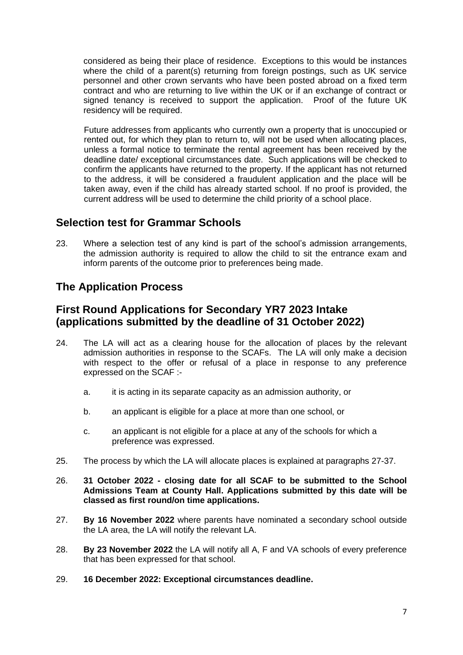considered as being their place of residence. Exceptions to this would be instances where the child of a parent(s) returning from foreign postings, such as UK service personnel and other crown servants who have been posted abroad on a fixed term contract and who are returning to live within the UK or if an exchange of contract or signed tenancy is received to support the application. Proof of the future UK residency will be required.

Future addresses from applicants who currently own a property that is unoccupied or rented out, for which they plan to return to, will not be used when allocating places, unless a formal notice to terminate the rental agreement has been received by the deadline date/ exceptional circumstances date. Such applications will be checked to confirm the applicants have returned to the property. If the applicant has not returned to the address, it will be considered a fraudulent application and the place will be taken away, even if the child has already started school. If no proof is provided, the current address will be used to determine the child priority of a school place.

### **Selection test for Grammar Schools**

23. Where a selection test of any kind is part of the school's admission arrangements, the admission authority is required to allow the child to sit the entrance exam and inform parents of the outcome prior to preferences being made.

# **The Application Process**

### **First Round Applications for Secondary YR7 2023 Intake (applications submitted by the deadline of 31 October 2022)**

- 24. The LA will act as a clearing house for the allocation of places by the relevant admission authorities in response to the SCAFs. The LA will only make a decision with respect to the offer or refusal of a place in response to any preference expressed on the SCAF :
	- a. it is acting in its separate capacity as an admission authority, or
	- b. an applicant is eligible for a place at more than one school, or
	- c. an applicant is not eligible for a place at any of the schools for which a preference was expressed.
- 25. The process by which the LA will allocate places is explained at paragraphs 27-37.
- 26. **31 October 2022 - closing date for all SCAF to be submitted to the School Admissions Team at County Hall. Applications submitted by this date will be classed as first round/on time applications.**
- 27. **By 16 November 2022** where parents have nominated a secondary school outside the LA area, the LA will notify the relevant LA.
- 28. **By 23 November 2022** the LA will notify all A, F and VA schools of every preference that has been expressed for that school.
- 29. **16 December 2022: Exceptional circumstances deadline.**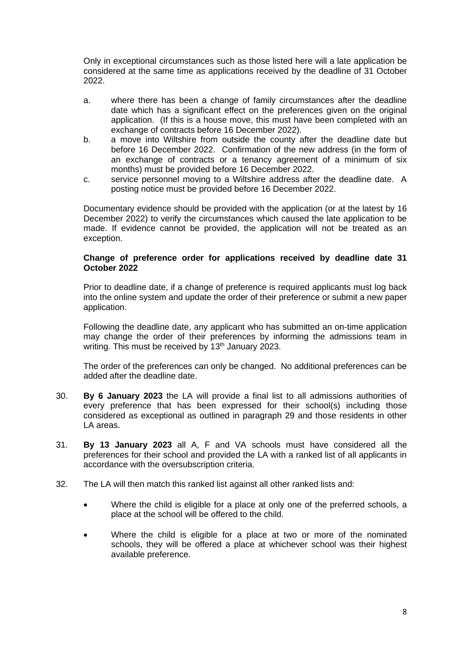Only in exceptional circumstances such as those listed here will a late application be considered at the same time as applications received by the deadline of 31 October 2022.

- a. where there has been a change of family circumstances after the deadline date which has a significant effect on the preferences given on the original application. (If this is a house move, this must have been completed with an exchange of contracts before 16 December 2022).
- b. a move into Wiltshire from outside the county after the deadline date but before 16 December 2022. Confirmation of the new address (in the form of an exchange of contracts or a tenancy agreement of a minimum of six months) must be provided before 16 December 2022.
- c. service personnel moving to a Wiltshire address after the deadline date. A posting notice must be provided before 16 December 2022.

Documentary evidence should be provided with the application (or at the latest by 16 December 2022) to verify the circumstances which caused the late application to be made. If evidence cannot be provided, the application will not be treated as an exception.

#### **Change of preference order for applications received by deadline date 31 October 2022**

Prior to deadline date, if a change of preference is required applicants must log back into the online system and update the order of their preference or submit a new paper application.

Following the deadline date, any applicant who has submitted an on-time application may change the order of their preferences by informing the admissions team in writing. This must be received by 13<sup>th</sup> January 2023.

The order of the preferences can only be changed. No additional preferences can be added after the deadline date.

- 30. **By 6 January 2023** the LA will provide a final list to all admissions authorities of every preference that has been expressed for their school(s) including those considered as exceptional as outlined in paragraph 29 and those residents in other LA areas.
- 31. **By 13 January 2023** all A, F and VA schools must have considered all the preferences for their school and provided the LA with a ranked list of all applicants in accordance with the oversubscription criteria.
- 32. The LA will then match this ranked list against all other ranked lists and:
	- Where the child is eligible for a place at only one of the preferred schools, a place at the school will be offered to the child.
	- Where the child is eligible for a place at two or more of the nominated schools, they will be offered a place at whichever school was their highest available preference.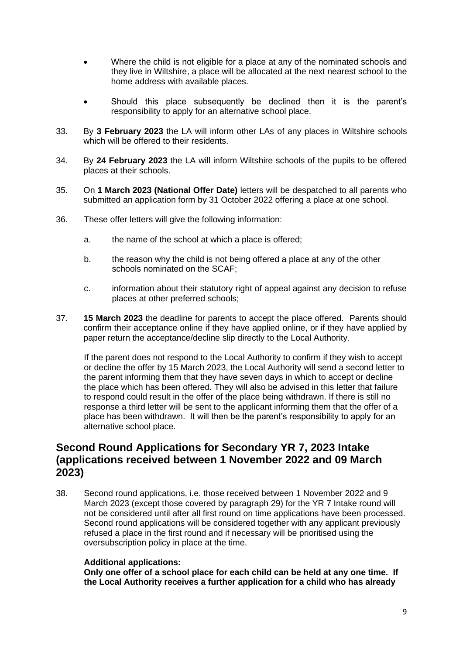- Where the child is not eligible for a place at any of the nominated schools and they live in Wiltshire, a place will be allocated at the next nearest school to the home address with available places.
- Should this place subsequently be declined then it is the parent's responsibility to apply for an alternative school place.
- 33. By **3 February 2023** the LA will inform other LAs of any places in Wiltshire schools which will be offered to their residents.
- 34. By **24 February 2023** the LA will inform Wiltshire schools of the pupils to be offered places at their schools.
- 35. On **1 March 2023 (National Offer Date)** letters will be despatched to all parents who submitted an application form by 31 October 2022 offering a place at one school.
- 36. These offer letters will give the following information:
	- a. the name of the school at which a place is offered;
	- b. the reason why the child is not being offered a place at any of the other schools nominated on the SCAF;
	- c. information about their statutory right of appeal against any decision to refuse places at other preferred schools;
- 37. **15 March 2023** the deadline for parents to accept the place offered. Parents should confirm their acceptance online if they have applied online, or if they have applied by paper return the acceptance/decline slip directly to the Local Authority.

If the parent does not respond to the Local Authority to confirm if they wish to accept or decline the offer by 15 March 2023, the Local Authority will send a second letter to the parent informing them that they have seven days in which to accept or decline the place which has been offered. They will also be advised in this letter that failure to respond could result in the offer of the place being withdrawn. If there is still no response a third letter will be sent to the applicant informing them that the offer of a place has been withdrawn. It will then be the parent's responsibility to apply for an alternative school place.

### **Second Round Applications for Secondary YR 7, 2023 Intake (applications received between 1 November 2022 and 09 March 2023)**

38. Second round applications, i.e. those received between 1 November 2022 and 9 March 2023 (except those covered by paragraph 29) for the YR 7 Intake round will not be considered until after all first round on time applications have been processed. Second round applications will be considered together with any applicant previously refused a place in the first round and if necessary will be prioritised using the oversubscription policy in place at the time.

#### **Additional applications:**

**Only one offer of a school place for each child can be held at any one time. If the Local Authority receives a further application for a child who has already**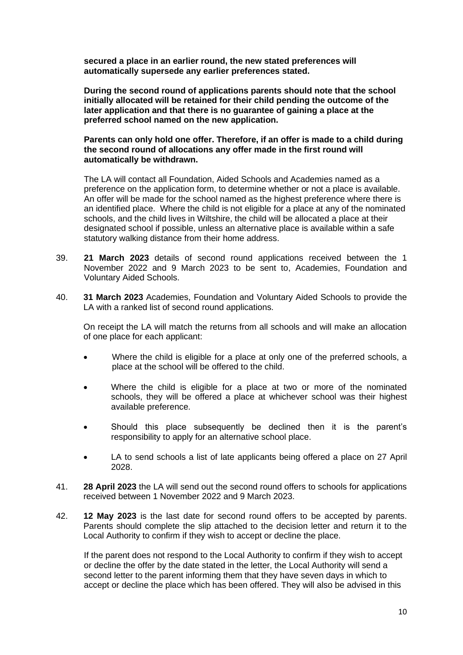**secured a place in an earlier round, the new stated preferences will automatically supersede any earlier preferences stated.** 

**During the second round of applications parents should note that the school initially allocated will be retained for their child pending the outcome of the later application and that there is no guarantee of gaining a place at the preferred school named on the new application.**

#### **Parents can only hold one offer. Therefore, if an offer is made to a child during the second round of allocations any offer made in the first round will automatically be withdrawn.**

The LA will contact all Foundation, Aided Schools and Academies named as a preference on the application form, to determine whether or not a place is available. An offer will be made for the school named as the highest preference where there is an identified place. Where the child is not eligible for a place at any of the nominated schools, and the child lives in Wiltshire, the child will be allocated a place at their designated school if possible, unless an alternative place is available within a safe statutory walking distance from their home address.

- 39. **21 March 2023** details of second round applications received between the 1 November 2022 and 9 March 2023 to be sent to, Academies, Foundation and Voluntary Aided Schools.
- 40. **31 March 2023** Academies, Foundation and Voluntary Aided Schools to provide the LA with a ranked list of second round applications.

On receipt the LA will match the returns from all schools and will make an allocation of one place for each applicant:

- Where the child is eligible for a place at only one of the preferred schools, a place at the school will be offered to the child.
- Where the child is eligible for a place at two or more of the nominated schools, they will be offered a place at whichever school was their highest available preference.
- Should this place subsequently be declined then it is the parent's responsibility to apply for an alternative school place.
- LA to send schools a list of late applicants being offered a place on 27 April 2028.
- 41. **28 April 2023** the LA will send out the second round offers to schools for applications received between 1 November 2022 and 9 March 2023.
- 42. **12 May 2023** is the last date for second round offers to be accepted by parents. Parents should complete the slip attached to the decision letter and return it to the Local Authority to confirm if they wish to accept or decline the place.

If the parent does not respond to the Local Authority to confirm if they wish to accept or decline the offer by the date stated in the letter, the Local Authority will send a second letter to the parent informing them that they have seven days in which to accept or decline the place which has been offered. They will also be advised in this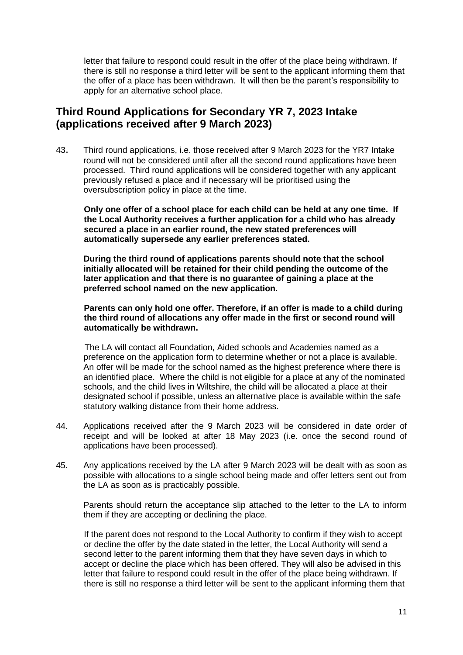letter that failure to respond could result in the offer of the place being withdrawn. If there is still no response a third letter will be sent to the applicant informing them that the offer of a place has been withdrawn. It will then be the parent's responsibility to apply for an alternative school place.

### **Third Round Applications for Secondary YR 7, 2023 Intake (applications received after 9 March 2023)**

43. Third round applications, i.e. those received after 9 March 2023 for the YR7 Intake round will not be considered until after all the second round applications have been processed. Third round applications will be considered together with any applicant previously refused a place and if necessary will be prioritised using the oversubscription policy in place at the time.

**Only one offer of a school place for each child can be held at any one time. If the Local Authority receives a further application for a child who has already secured a place in an earlier round, the new stated preferences will automatically supersede any earlier preferences stated.** 

**During the third round of applications parents should note that the school initially allocated will be retained for their child pending the outcome of the later application and that there is no guarantee of gaining a place at the preferred school named on the new application.**

**Parents can only hold one offer. Therefore, if an offer is made to a child during the third round of allocations any offer made in the first or second round will automatically be withdrawn.**

 The LA will contact all Foundation, Aided schools and Academies named as a preference on the application form to determine whether or not a place is available. An offer will be made for the school named as the highest preference where there is an identified place. Where the child is not eligible for a place at any of the nominated schools, and the child lives in Wiltshire, the child will be allocated a place at their designated school if possible, unless an alternative place is available within the safe statutory walking distance from their home address.

- 44. Applications received after the 9 March 2023 will be considered in date order of receipt and will be looked at after 18 May 2023 (i.e. once the second round of applications have been processed).
- 45. Any applications received by the LA after 9 March 2023 will be dealt with as soon as possible with allocations to a single school being made and offer letters sent out from the LA as soon as is practicably possible.

Parents should return the acceptance slip attached to the letter to the LA to inform them if they are accepting or declining the place.

If the parent does not respond to the Local Authority to confirm if they wish to accept or decline the offer by the date stated in the letter, the Local Authority will send a second letter to the parent informing them that they have seven days in which to accept or decline the place which has been offered. They will also be advised in this letter that failure to respond could result in the offer of the place being withdrawn. If there is still no response a third letter will be sent to the applicant informing them that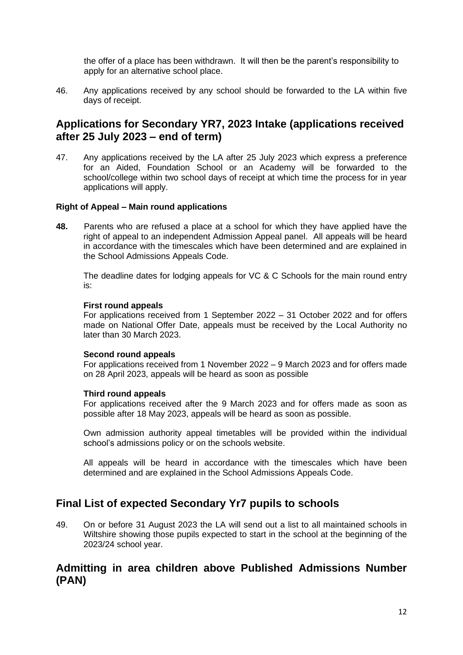the offer of a place has been withdrawn. It will then be the parent's responsibility to apply for an alternative school place.

46. Any applications received by any school should be forwarded to the LA within five days of receipt.

### **Applications for Secondary YR7, 2023 Intake (applications received after 25 July 2023 – end of term)**

47. Any applications received by the LA after 25 July 2023 which express a preference for an Aided, Foundation School or an Academy will be forwarded to the school/college within two school days of receipt at which time the process for in year applications will apply.

#### **Right of Appeal – Main round applications**

**48.** Parents who are refused a place at a school for which they have applied have the right of appeal to an independent Admission Appeal panel. All appeals will be heard in accordance with the timescales which have been determined and are explained in the School Admissions Appeals Code.

The deadline dates for lodging appeals for VC & C Schools for the main round entry is:

#### **First round appeals**

For applications received from 1 September 2022 – 31 October 2022 and for offers made on National Offer Date, appeals must be received by the Local Authority no later than 30 March 2023.

#### **Second round appeals**

For applications received from 1 November 2022 – 9 March 2023 and for offers made on 28 April 2023, appeals will be heard as soon as possible

#### **Third round appeals**

For applications received after the 9 March 2023 and for offers made as soon as possible after 18 May 2023, appeals will be heard as soon as possible.

Own admission authority appeal timetables will be provided within the individual school's admissions policy or on the schools website.

All appeals will be heard in accordance with the timescales which have been determined and are explained in the School Admissions Appeals Code.

### **Final List of expected Secondary Yr7 pupils to schools**

49. On or before 31 August 2023 the LA will send out a list to all maintained schools in Wiltshire showing those pupils expected to start in the school at the beginning of the 2023/24 school year.

### **Admitting in area children above Published Admissions Number (PAN)**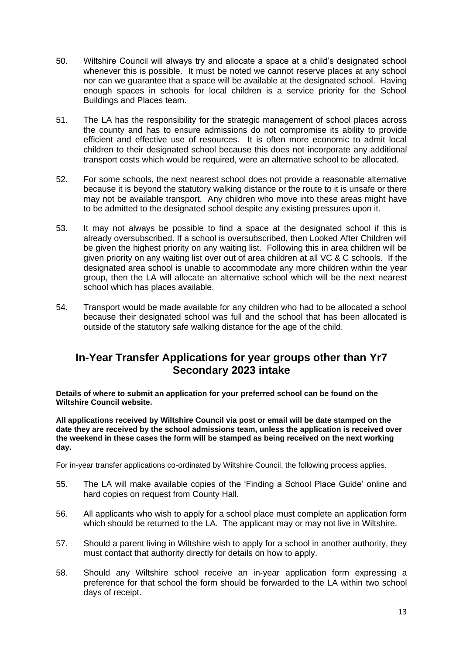- 50. Wiltshire Council will always try and allocate a space at a child's designated school whenever this is possible. It must be noted we cannot reserve places at any school nor can we guarantee that a space will be available at the designated school. Having enough spaces in schools for local children is a service priority for the School Buildings and Places team.
- 51. The LA has the responsibility for the strategic management of school places across the county and has to ensure admissions do not compromise its ability to provide efficient and effective use of resources. It is often more economic to admit local children to their designated school because this does not incorporate any additional transport costs which would be required, were an alternative school to be allocated.
- 52. For some schools, the next nearest school does not provide a reasonable alternative because it is beyond the statutory walking distance or the route to it is unsafe or there may not be available transport. Any children who move into these areas might have to be admitted to the designated school despite any existing pressures upon it.
- 53. It may not always be possible to find a space at the designated school if this is already oversubscribed. If a school is oversubscribed, then Looked After Children will be given the highest priority on any waiting list. Following this in area children will be given priority on any waiting list over out of area children at all VC & C schools. If the designated area school is unable to accommodate any more children within the year group, then the LA will allocate an alternative school which will be the next nearest school which has places available.
- 54. Transport would be made available for any children who had to be allocated a school because their designated school was full and the school that has been allocated is outside of the statutory safe walking distance for the age of the child.

### **In-Year Transfer Applications for year groups other than Yr7 Secondary 2023 intake**

**Details of where to submit an application for your preferred school can be found on the Wiltshire Council website.** 

**All applications received by Wiltshire Council via post or email will be date stamped on the date they are received by the school admissions team, unless the application is received over the weekend in these cases the form will be stamped as being received on the next working day.**

For in-year transfer applications co-ordinated by Wiltshire Council, the following process applies.

- 55. The LA will make available copies of the 'Finding a School Place Guide' online and hard copies on request from County Hall.
- 56. All applicants who wish to apply for a school place must complete an application form which should be returned to the LA. The applicant may or may not live in Wiltshire.
- 57. Should a parent living in Wiltshire wish to apply for a school in another authority, they must contact that authority directly for details on how to apply.
- 58. Should any Wiltshire school receive an in-year application form expressing a preference for that school the form should be forwarded to the LA within two school days of receipt.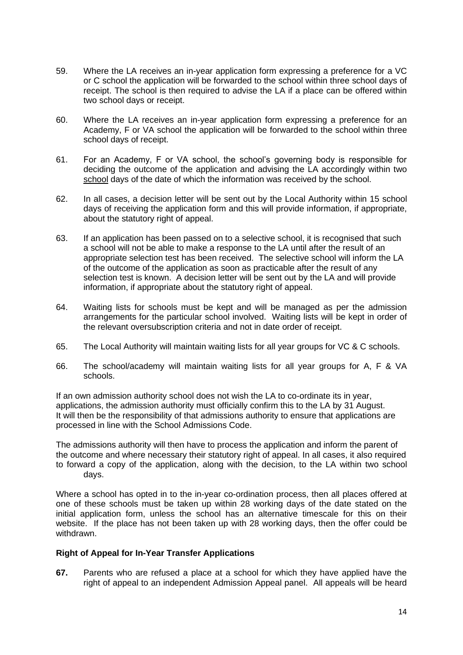- 59. Where the LA receives an in-year application form expressing a preference for a VC or C school the application will be forwarded to the school within three school days of receipt. The school is then required to advise the LA if a place can be offered within two school days or receipt.
- 60. Where the LA receives an in-year application form expressing a preference for an Academy, F or VA school the application will be forwarded to the school within three school days of receipt.
- 61. For an Academy, F or VA school, the school's governing body is responsible for deciding the outcome of the application and advising the LA accordingly within two school days of the date of which the information was received by the school.
- 62. In all cases, a decision letter will be sent out by the Local Authority within 15 school days of receiving the application form and this will provide information, if appropriate, about the statutory right of appeal.
- 63. If an application has been passed on to a selective school, it is recognised that such a school will not be able to make a response to the LA until after the result of an appropriate selection test has been received. The selective school will inform the LA of the outcome of the application as soon as practicable after the result of any selection test is known. A decision letter will be sent out by the LA and will provide information, if appropriate about the statutory right of appeal.
- 64. Waiting lists for schools must be kept and will be managed as per the admission arrangements for the particular school involved. Waiting lists will be kept in order of the relevant oversubscription criteria and not in date order of receipt.
- 65. The Local Authority will maintain waiting lists for all year groups for VC & C schools.
- 66. The school/academy will maintain waiting lists for all year groups for A, F & VA schools.

If an own admission authority school does not wish the LA to co-ordinate its in year, applications, the admission authority must officially confirm this to the LA by 31 August. It will then be the responsibility of that admissions authority to ensure that applications are processed in line with the School Admissions Code.

The admissions authority will then have to process the application and inform the parent of the outcome and where necessary their statutory right of appeal. In all cases, it also required to forward a copy of the application, along with the decision, to the LA within two school days.

Where a school has opted in to the in-year co-ordination process, then all places offered at one of these schools must be taken up within 28 working days of the date stated on the initial application form, unless the school has an alternative timescale for this on their website. If the place has not been taken up with 28 working days, then the offer could be withdrawn.

#### **Right of Appeal for In-Year Transfer Applications**

**67.** Parents who are refused a place at a school for which they have applied have the right of appeal to an independent Admission Appeal panel. All appeals will be heard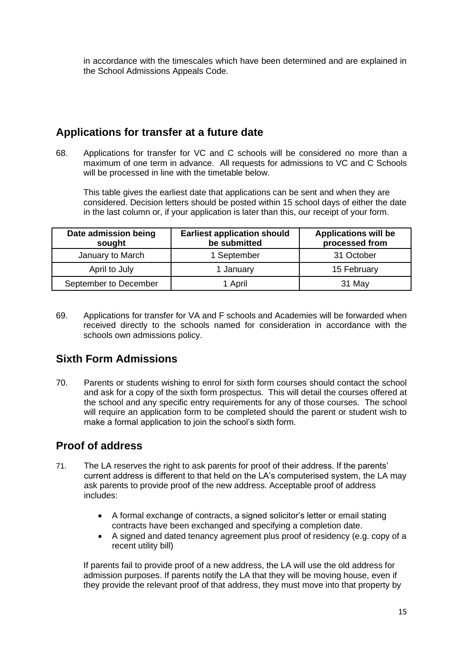in accordance with the timescales which have been determined and are explained in the School Admissions Appeals Code.

# **Applications for transfer at a future date**

68. Applications for transfer for VC and C schools will be considered no more than a maximum of one term in advance. All requests for admissions to VC and C Schools will be processed in line with the timetable below.

This table gives the earliest date that applications can be sent and when they are considered. Decision letters should be posted within 15 school days of either the date in the last column or, if your application is later than this, our receipt of your form.

| Date admission being<br>sought | <b>Earliest application should</b><br>be submitted | <b>Applications will be</b><br>processed from |
|--------------------------------|----------------------------------------------------|-----------------------------------------------|
| January to March               | 1 September                                        | 31 October                                    |
| April to July                  | 1 January                                          | 15 February                                   |
| September to December          | 1 April                                            | 31 May                                        |

69. Applications for transfer for VA and F schools and Academies will be forwarded when received directly to the schools named for consideration in accordance with the schools own admissions policy.

# **Sixth Form Admissions**

70. Parents or students wishing to enrol for sixth form courses should contact the school and ask for a copy of the sixth form prospectus. This will detail the courses offered at the school and any specific entry requirements for any of those courses. The school will require an application form to be completed should the parent or student wish to make a formal application to join the school's sixth form.

# **Proof of address**

- 71. The LA reserves the right to ask parents for proof of their address. If the parents' current address is different to that held on the LA's computerised system, the LA may ask parents to provide proof of the new address. Acceptable proof of address includes:
	- A formal exchange of contracts, a signed solicitor's letter or email stating contracts have been exchanged and specifying a completion date.
	- A signed and dated tenancy agreement plus proof of residency (e.g. copy of a recent utility bill)

If parents fail to provide proof of a new address, the LA will use the old address for admission purposes. If parents notify the LA that they will be moving house, even if they provide the relevant proof of that address, they must move into that property by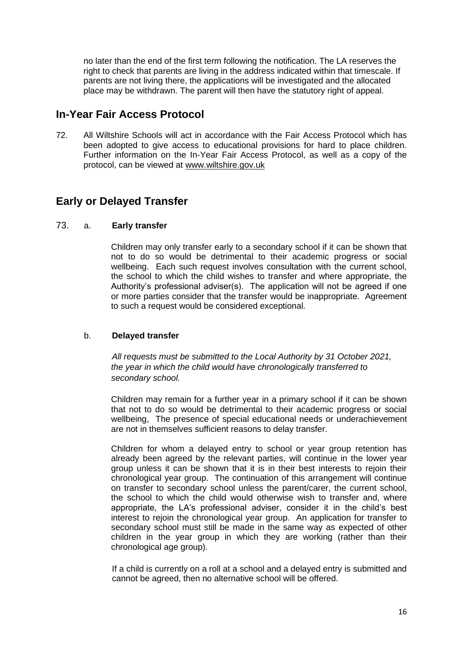no later than the end of the first term following the notification. The LA reserves the right to check that parents are living in the address indicated within that timescale. If parents are not living there, the applications will be investigated and the allocated place may be withdrawn. The parent will then have the statutory right of appeal.

### **In-Year Fair Access Protocol**

72. All Wiltshire Schools will act in accordance with the Fair Access Protocol which has been adopted to give access to educational provisions for hard to place children. Further information on the In-Year Fair Access Protocol, as well as a copy of the protocol, can be viewed at [www.wiltshire.gov.uk](http://www.wiltshire.gov.uk/)

# **Early or Delayed Transfer**

#### 73. a. **Early transfer**

Children may only transfer early to a secondary school if it can be shown that not to do so would be detrimental to their academic progress or social wellbeing. Each such request involves consultation with the current school, the school to which the child wishes to transfer and where appropriate, the Authority's professional adviser(s). The application will not be agreed if one or more parties consider that the transfer would be inappropriate. Agreement to such a request would be considered exceptional.

#### b. **Delayed transfer**

*All requests must be submitted to the Local Authority by 31 October 2021, the year in which the child would have chronologically transferred to secondary school.*

Children may remain for a further year in a primary school if it can be shown that not to do so would be detrimental to their academic progress or social wellbeing, The presence of special educational needs or underachievement are not in themselves sufficient reasons to delay transfer.

Children for whom a delayed entry to school or year group retention has already been agreed by the relevant parties, will continue in the lower year group unless it can be shown that it is in their best interests to rejoin their chronological year group. The continuation of this arrangement will continue on transfer to secondary school unless the parent/carer, the current school, the school to which the child would otherwise wish to transfer and, where appropriate, the LA's professional adviser, consider it in the child's best interest to rejoin the chronological year group. An application for transfer to secondary school must still be made in the same way as expected of other children in the year group in which they are working (rather than their chronological age group).

If a child is currently on a roll at a school and a delayed entry is submitted and cannot be agreed, then no alternative school will be offered.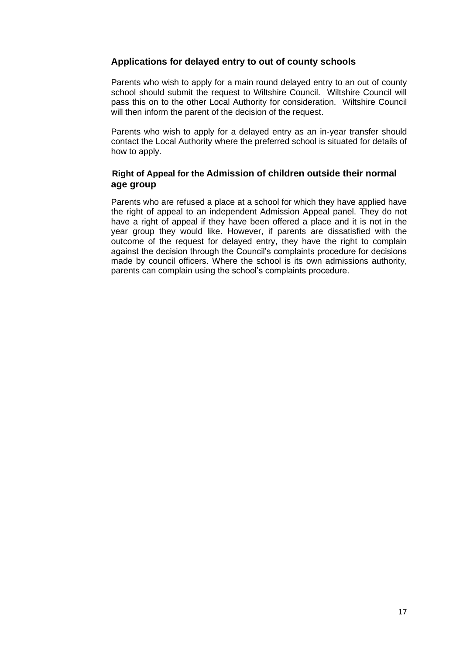### **Applications for delayed entry to out of county schools**

Parents who wish to apply for a main round delayed entry to an out of county school should submit the request to Wiltshire Council. Wiltshire Council will pass this on to the other Local Authority for consideration. Wiltshire Council will then inform the parent of the decision of the request.

Parents who wish to apply for a delayed entry as an in-year transfer should contact the Local Authority where the preferred school is situated for details of how to apply.

### **Right of Appeal for the Admission of children outside their normal age group**

Parents who are refused a place at a school for which they have applied have the right of appeal to an independent Admission Appeal panel. They do not have a right of appeal if they have been offered a place and it is not in the year group they would like. However, if parents are dissatisfied with the outcome of the request for delayed entry, they have the right to complain against the decision through the Council's complaints procedure for decisions made by council officers. Where the school is its own admissions authority, parents can complain using the school's complaints procedure.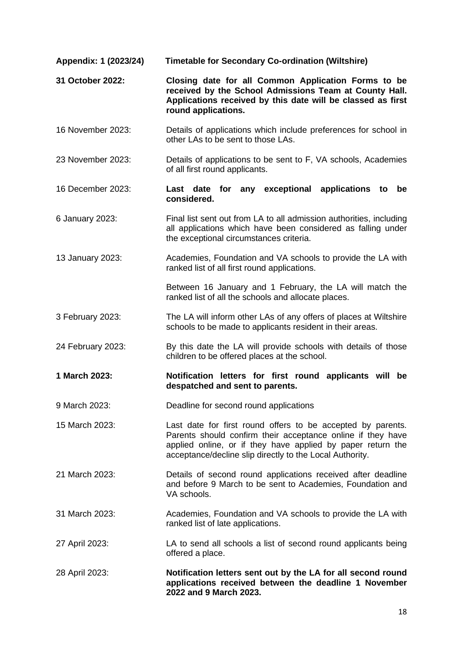| Appendix: 1 (2023/24) | <b>Timetable for Secondary Co-ordination (Wiltshire)</b>                                                                                                                                                                                              |
|-----------------------|-------------------------------------------------------------------------------------------------------------------------------------------------------------------------------------------------------------------------------------------------------|
| 31 October 2022:      | Closing date for all Common Application Forms to be<br>received by the School Admissions Team at County Hall.<br>Applications received by this date will be classed as first<br>round applications.                                                   |
| 16 November 2023:     | Details of applications which include preferences for school in<br>other LAs to be sent to those LAs.                                                                                                                                                 |
| 23 November 2023:     | Details of applications to be sent to F, VA schools, Academies<br>of all first round applicants.                                                                                                                                                      |
| 16 December 2023:     | Last date for any exceptional applications<br>to<br>be<br>considered.                                                                                                                                                                                 |
| 6 January 2023:       | Final list sent out from LA to all admission authorities, including<br>all applications which have been considered as falling under<br>the exceptional circumstances criteria.                                                                        |
| 13 January 2023:      | Academies, Foundation and VA schools to provide the LA with<br>ranked list of all first round applications.                                                                                                                                           |
|                       | Between 16 January and 1 February, the LA will match the<br>ranked list of all the schools and allocate places.                                                                                                                                       |
| 3 February 2023:      | The LA will inform other LAs of any offers of places at Wiltshire<br>schools to be made to applicants resident in their areas.                                                                                                                        |
| 24 February 2023:     | By this date the LA will provide schools with details of those<br>children to be offered places at the school.                                                                                                                                        |
| 1 March 2023:         | Notification letters for first round applicants will be<br>despatched and sent to parents.                                                                                                                                                            |
| 9 March 2023:         | Deadline for second round applications                                                                                                                                                                                                                |
| 15 March 2023:        | Last date for first round offers to be accepted by parents.<br>Parents should confirm their acceptance online if they have<br>applied online, or if they have applied by paper return the<br>acceptance/decline slip directly to the Local Authority. |
| 21 March 2023:        | Details of second round applications received after deadline<br>and before 9 March to be sent to Academies, Foundation and<br>VA schools.                                                                                                             |
| 31 March 2023:        | Academies, Foundation and VA schools to provide the LA with<br>ranked list of late applications.                                                                                                                                                      |
| 27 April 2023:        | LA to send all schools a list of second round applicants being<br>offered a place.                                                                                                                                                                    |
| 28 April 2023:        | Notification letters sent out by the LA for all second round<br>applications received between the deadline 1 November<br>2022 and 9 March 2023.                                                                                                       |